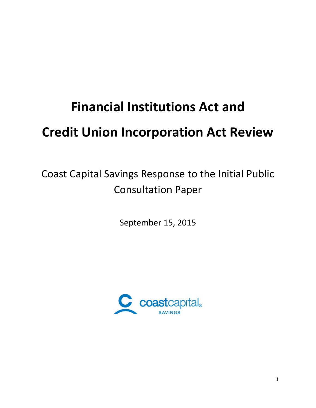# **Financial Institutions Act and Credit Union Incorporation Act Review**

Coast Capital Savings Response to the Initial Public Consultation Paper

September 15, 2015

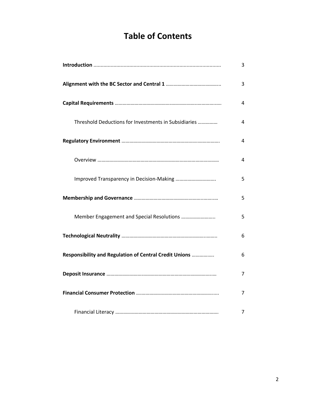# **Table of Contents**

|                                                        | 3 |
|--------------------------------------------------------|---|
|                                                        | 3 |
|                                                        | 4 |
| Threshold Deductions for Investments in Subsidiaries   | 4 |
|                                                        | 4 |
|                                                        | 4 |
|                                                        | 5 |
|                                                        | 5 |
| Member Engagement and Special Resolutions              | 5 |
|                                                        | 6 |
| Responsibility and Regulation of Central Credit Unions | 6 |
|                                                        | 7 |
|                                                        | 7 |
|                                                        | 7 |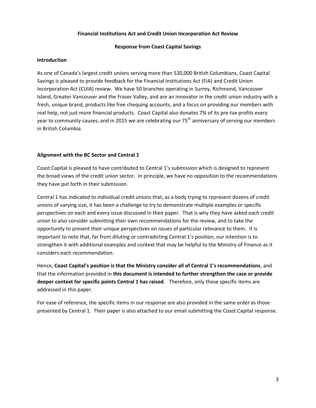## **Financial Institutions Act and Credit Union Incorporation Act Review**

### **Response from Coast Capital Savings**

#### **Introduction**

As one of Canada's largest credit unions serving more than 520,000 British Columbians, Coast Capital Savings is pleased to provide feedback for the Financial Institutions Act (FIA) and Credit Union Incorporation Act (CUIA) review. We have 50 branches operating in Surrey, Richmond, Vancouver Island, Greater Vancouver and the Fraser Valley, and are an innovator in the credit union industry with a fresh, unique brand, products like free chequing accounts, and a focus on providing our members with real help, not just more financial products. Coast Capital also donates 7% of its pre-tax profits every year to community causes, and in 2015 we are celebrating our 75<sup>th</sup> anniversary of serving our members in British Columbia.

#### **Alignment with the BC Sector and Central 1**

Coast Capital is pleased to have contributed to Central 1's submission which is designed to represent the broad views of the credit union sector. In principle, we have no opposition to the recommendations they have put forth in their submission.

Central 1 has indicated to individual credit unions that, as a body trying to represent dozens of credit unions of varying size, it has been a challenge to try to demonstrate multiple examples or specific perspectives on each and every issue discussed in their paper. That is why they have asked each credit union to also consider submitting their own recommendations for the review, and to take the opportunity to present their unique perspectives on issues of particular relevance to them. It is important to note that, far from diluting or contradicting Central 1's position, our intention is to strengthen it with additional examples and context that may be helpful to the Ministry of Finance as it considers each recommendation.

Hence, **Coast Capital's position is that the Ministry consider all of Central 1's recommendations**, and that the information provided in **this document is intended to further strengthen the case or provide deeper context for specific points Central 1 has raised**. Therefore, only those specific items are addressed in this paper.

For ease of reference, the specific items in our response are also provided in the same order as those presented by Central 1. Their paper is also attached to our email submitting the Coast Capital response.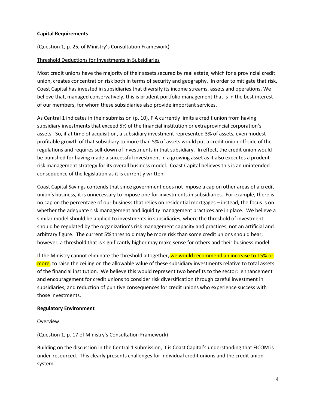# **Capital Requirements**

(Question 1, p. 25, of Ministry's Consultation Framework)

# Threshold Deductions for Investments in Subsidiaries

Most credit unions have the majority of their assets secured by real estate, which for a provincial credit union, creates concentration risk both in terms of security and geography. In order to mitigate that risk, Coast Capital has invested in subsidiaries that diversify its income streams, assets and operations. We believe that, managed conservatively, this is prudent portfolio management that is in the best interest of our members, for whom these subsidiaries also provide important services.

As Central 1 indicates in their submission (p. 10), FIA currently limits a credit union from having subsidiary investments that exceed 5% of the financial institution or extraprovincial corporation's assets. So, if at time of acquisition, a subsidiary investment represented 3% of assets, even modest profitable growth of that subsidiary to more than 5% of assets would put a credit union off side of the regulations and requires sell-down of investments in that subsidiary. In effect, the credit union would be punished for having made a successful investment in a growing asset as it also executes a prudent risk management strategy for its overall business model. Coast Capital believes this is an unintended consequence of the legislation as it is currently written.

Coast Capital Savings contends that since government does not impose a cap on other areas of a credit union's business, it is unnecessary to impose one for investments in subsidiaries. For example, there is no cap on the percentage of our business that relies on residential mortgages – instead, the focus is on whether the adequate risk management and liquidity management practices are in place. We believe a similar model should be applied to investments in subsidiaries, where the threshold of investment should be regulated by the organization's risk management capacity and practices, not an artificial and arbitrary figure. The current 5% threshold may be more risk than some credit unions should bear; however, a threshold that is significantly higher may make sense for others and their business model.

If the Ministry cannot eliminate the threshold altogether, we would recommend an increase to 15% or more, to raise the ceiling on the allowable value of these subsidiary investments relative to total assets of the financial institution. We believe this would represent two benefits to the sector: enhancement and encouragement for credit unions to consider risk diversification through careful investment in subsidiaries, and reduction of punitive consequences for credit unions who experience success with those investments.

# **Regulatory Environment**

# Overview

(Question 1, p. 17 of Ministry's Consultation Framework)

Building on the discussion in the Central 1 submission, it is Coast Capital's understanding that FICOM is under-resourced. This clearly presents challenges for individual credit unions and the credit union system.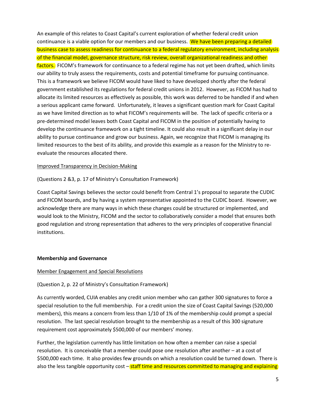An example of this relates to Coast Capital's current exploration of whether federal credit union continuance is a viable option for our members and our business. We have been preparing a detailed business case to assess readiness for continuance to a federal regulatory environment, including analysis of the financial model, governance structure, risk review, overall organizational readiness and other factors. FICOM's framework for continuance to a federal regime has not yet been drafted, which limits our ability to truly assess the requirements, costs and potential timeframe for pursuing continuance. This is a framework we believe FICOM would have liked to have developed shortly after the federal government established its regulations for federal credit unions in 2012. However, as FICOM has had to allocate its limited resources as effectively as possible, this work was deferred to be handled if and when a serious applicant came forward. Unfortunately, it leaves a significant question mark for Coast Capital as we have limited direction as to what FICOM's requirements will be. The lack of specific criteria or a pre-determined model leaves both Coast Capital and FICOM in the position of potentially having to develop the continuance framework on a tight timeline. It could also result in a significant delay in our ability to pursue continuance and grow our business. Again, we recognize that FICOM is managing its limited resources to the best of its ability, and provide this example as a reason for the Ministry to reevaluate the resources allocated there.

#### Improved Transparency in Decision-Making

(Questions 2 &3, p. 17 of Ministry's Consultation Framework)

Coast Capital Savings believes the sector could benefit from Central 1's proposal to separate the CUDIC and FICOM boards, and by having a system representative appointed to the CUDIC board. However, we acknowledge there are many ways in which these changes could be structured or implemented, and would look to the Ministry, FICOM and the sector to collaboratively consider a model that ensures both good regulation and strong representation that adheres to the very principles of cooperative financial institutions.

# **Membership and Governance**

#### Member Engagement and Special Resolutions

# (Question 2, p. 22 of Ministry's Consultation Framework)

As currently worded, CUIA enables any credit union member who can gather 300 signatures to force a special resolution to the full membership. For a credit union the size of Coast Capital Savings (520,000 members), this means a concern from less than 1/10 of 1% of the membership could prompt a special resolution. The last special resolution brought to the membership as a result of this 300 signature requirement cost approximately \$500,000 of our members' money.

Further, the legislation currently has little limitation on how often a member can raise a special resolution. It is conceivable that a member could pose one resolution after another – at a cost of \$500,000 each time. It also provides few grounds on which a resolution could be turned down. There is also the less tangible opportunity cost – staff time and resources committed to managing and explaining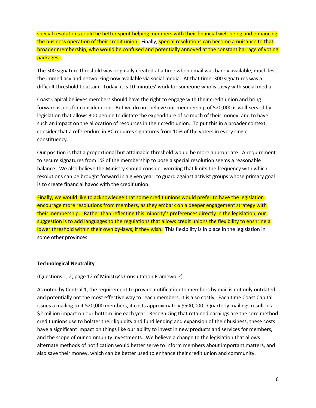special resolutions could be better spent helping members with their financial well-being and enhancing the business operation of their credit union. Finally, special resolutions can become a nuisance to that broader membership, who would be confused and potentially annoyed at the constant barrage of voting packages.

The 300 signature threshold was originally created at a time when email was barely available, much less the immediacy and networking now available via social media. At that time, 300 signatures was a difficult threshold to attain. Today, it is 10 minutes' work for someone who is savvy with social media.

Coast Capital believes members should have the right to engage with their credit union and bring forward issues for consideration. But we do not believe our membership of 520,000 is well-served by legislation that allows 300 people to dictate the expenditure of so much of their money, and to have such an impact on the allocation of resources in their credit union. To put this in a broader context, consider that a referendum in BC requires signatures from 10% of the voters in every single constituency.

Our position is that a proportional but attainable threshold would be more appropriate. A requirement to secure signatures from 1% of the membership to pose a special resolution seems a reasonable balance. We also believe the Ministry should consider wording that limits the frequency with which resolutions can be brought forward in a given year, to guard against activist groups whose primary goal is to create financial havoc with the credit union.

Finally, we would like to acknowledge that some credit unions would prefer to have the legislation encourage more resolutions from members, as they embark on a deeper engagement strategy with their membership. Rather than reflecting this minority's preferences directly in the legislation, our suggestion is to add languages to the regulations that allows credit unions the flexibility to enshrine a lower threshold within their own by-laws, if they wish. This flexibility is in place in the legislation in some other provinces.

# **Technological Neutrality**

(Questions 1, 2, page 12 of Ministry's Consultation Framework)

As noted by Central 1, the requirement to provide notification to members by mail is not only outdated and potentially not the most effective way to reach members, it is also costly. Each time Coast Capital issues a mailing to it 520,000 members, it costs approximately \$500,000. Quarterly mailings result in a \$2 million impact on our bottom line each year. Recognizing that retained earnings are the core method credit unions use to bolster their liquidity and fund lending and expansion of their business, these costs have a significant impact on things like our ability to invest in new products and services for members, and the scope of our community investments. We believe a change to the legislation that allows alternate methods of notification would better serve to inform members about important matters, and also save their money, which can be better used to enhance their credit union and community.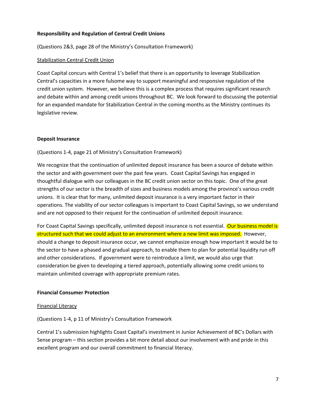# **Responsibility and Regulation of Central Credit Unions**

(Questions 2&3, page 28 of the Ministry's Consultation Framework)

#### Stabilization Central Credit Union

Coast Capital concurs with Central 1's belief that there is an opportunity to leverage Stabilization Central's capacities in a more fulsome way to support meaningful and responsive regulation of the credit union system. However, we believe this is a complex process that requires significant research and debate within and among credit unions throughout BC. We look forward to discussing the potential for an expanded mandate for Stabilization Central in the coming months as the Ministry continues its legislative review.

#### **Deposit Insurance**

(Questions 1-4, page 21 of Ministry's Consultation Framework)

We recognize that the continuation of unlimited deposit insurance has been a source of debate within the sector and with government over the past few years. Coast Capital Savings has engaged in thoughtful dialogue with our colleagues in the BC credit union sector on this topic. One of the great strengths of our sector is the breadth of sizes and business models among the province's various credit unions. It is clear that for many, unlimited deposit insurance is a very important factor in their operations. The viability of our sector colleagues is important to Coast Capital Savings, so we understand and are not opposed to their request for the continuation of unlimited deposit insurance.

For Coast Capital Savings specifically, unlimited deposit insurance is not essential. Our business model is structured such that we could adjust to an environment where a new limit was imposed. However, should a change to deposit insurance occur, we cannot emphasize enough how important it would be to the sector to have a phased and gradual approach, to enable them to plan for potential liquidity run off and other considerations. If government were to reintroduce a limit, we would also urge that consideration be given to developing a tiered approach, potentially allowing some credit unions to maintain unlimited coverage with appropriate premium rates.

#### **Financial Consumer Protection**

#### Financial Literacy

(Questions 1-4, p 11 of Ministry's Consultation Framework

Central 1's submission highlights Coast Capital's investment in Junior Achievement of BC's Dollars with Sense program – this section provides a bit more detail about our involvement with and pride in this excellent program and our overall commitment to financial literacy.